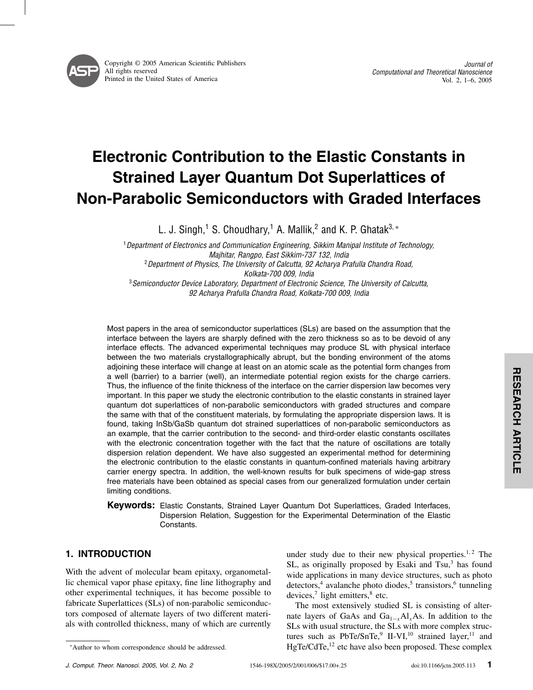# Electronic Contribution to the Elastic Constants in Strained Layer Quantum Dot Superlattices of Non-Parabolic Semiconductors with Graded Interfaces

L. J. Singh,<sup>1</sup> S. Choudhary,<sup>1</sup> A. Mallik,<sup>2</sup> and K. P. Ghatak<sup>3, ∗</sup>

<sup>1</sup> Department of Electronics and Communication Engineering, Sikkim Manipal Institute of Technology, Majhitar, Rangpo, East Sikkim-737 132, India <sup>2</sup> Department of Physics, The University of Calcutta, 92 Acharya Prafulla Chandra Road, Kolkata-700 009, India <sup>3</sup> Semiconductor Device Laboratory, Department of Electronic Science, The University of Calcutta, 92 Acharya Prafulla Chandra Road, Kolkata-700 009, India

Most papers in the area of semiconductor superlattices (SLs) are based on the assumption that the interface between the layers are sharply defined with the zero thickness so as to be devoid of any interface effects. The advanced experimental techniques may produce SL with physical interface between the two materials crystallographically abrupt, but the bonding environment of the atoms adjoining these interface will change at least on an atomic scale as the potential form changes from a well (barrier) to a barrier (well), an intermediate potential region exists for the charge carriers. Thus, the influence of the finite thickness of the interface on the carrier dispersion law becomes very important. In this paper we study the electronic contribution to the elastic constants in strained layer quantum dot superlattices of non-parabolic semiconductors with graded structures and compare the same with that of the constituent materials, by formulating the appropriate dispersion laws. It is found, taking InSb/GaSb quantum dot strained superlattices of non-parabolic semiconductors as an example, that the carrier contribution to the second- and third-order elastic constants oscillates with the electronic concentration together with the fact that the nature of oscillations are totally dispersion relation dependent. We have also suggested an experimental method for determining the electronic contribution to the elastic constants in quantum-confined materials having arbitrary carrier energy spectra. In addition, the well-known results for bulk specimens of wide-gap stress free materials have been obtained as special cases from our generalized formulation under certain limiting conditions.

**Keywords:** Elastic Constants, Strained Layer Quantum Dot Superlattices, Graded Interfaces, Dispersion Relation, Suggestion for the Experimental Determination of the Elastic Constants.

# 1. INTRODUCTION

With the advent of molecular beam epitaxy, organometallic chemical vapor phase epitaxy, fine line lithography and other experimental techniques, it has become possible to fabricate Superlattices (SLs) of non-parabolic semiconductors composed of alternate layers of two different materials with controlled thickness, many of which are currently under study due to their new physical properties. $1,2$  The  $SL$ , as originally proposed by Esaki and  $Tsu<sub>1</sub><sup>3</sup>$  has found wide applications in many device structures, such as photo  $d$ etectors,<sup>4</sup> avalanche photo diodes,<sup>5</sup> transistors,<sup>6</sup> tunneling devices, $7$  light emitters, $8$  etc.

The most extensively studied SL is consisting of alternate layers of GaAs and  $Ga_{1-x}Al_{x}As$ . In addition to the SLs with usual structure, the SLs with more complex structures such as  $PbTe/SnTe<sup>9</sup>$  II-VI,<sup>10</sup> strained layer,<sup>11</sup> and HgTe/CdTe,<sup>12</sup> etc have also been proposed. These complex

<sup>∗</sup>Author to whom correspondence should be addressed.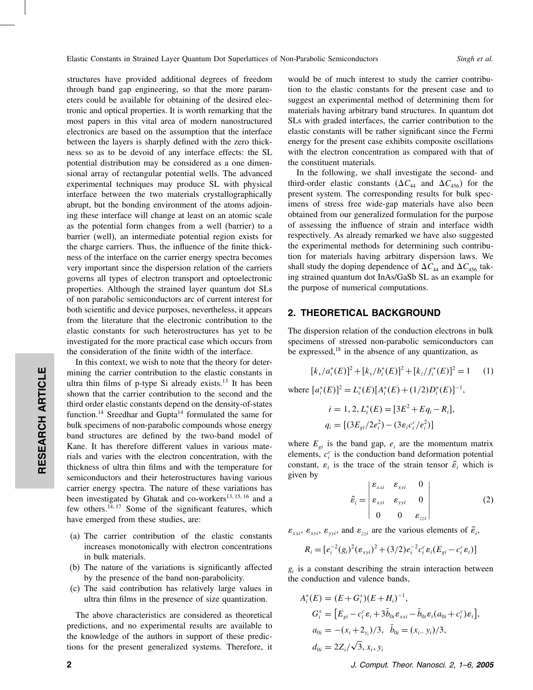structures have provided additional degrees of freedom through band gap engineering, so that the more parameters could be available for obtaining of the desired electronic and optical properties.It is worth remarking that the most papers in this vital area of modern nanostructured electronics are based on the assumption that the interface between the layers is sharply defined with the zero thickness so as to be devoid of any interface effects: the SL potential distribution may be considered as a one dimensional array of rectangular potential wells.The advanced experimental techniques may produce SL with physical interface between the two materials crystallographically abrupt, but the bonding environment of the atoms adjoining these interface will change at least on an atomic scale as the potential form changes from a well (barrier) to a barrier (well), an intermediate potential region exists for the charge carriers.Thus, the influence of the finite thickness of the interface on the carrier energy spectra becomes very important since the dispersion relation of the carriers governs all types of electron transport and optoelectronic properties.Although the strained layer quantum dot SLs of non parabolic semiconductors arc of current interest for both scientific and device purposes, nevertheless, it appears from the literature that the electronic contribution to the elastic constants for such heterostructures has yet to be investigated for the more practical case which occurs from the consideration of the finite width of the interface.

In this context, we wish to note that the theory for determining the carrier contribution to the elastic constants in ultra thin films of p-type Si already exists. $13$  It has been shown that the carrier contribution to the second and the third order elastic constants depend on the density-of-states function.<sup>14</sup> Sreedhar and Gupta<sup>14</sup> formulated the same for bulk specimens of non-parabolic compounds whose energy band structures are defined by the two-band model of Kane. It has therefore different values in various materials and varies with the electron concentration, with the thickness of ultra thin films and with the temperature for semiconductors and their heterostructures having various carrier energy spectra. The nature of these variations has been investigated by Ghatak and co-workers $^{13, 15, 16}$  and a few others.<sup>14, 17</sup> Some of the significant features, which have emerged from these studies, are:

- (a) The carrier contribution of the elastic constants increases monotonically with electron concentrations in bulk materials.
- (b) The nature of the variations is significantly affected by the presence of the band non-parabolicity.
- (c) The said contribution has relatively large values in ultra thin films in the presence of size quantization.

The above characteristics are considered as theoretical predictions, and no experimental results are available to the knowledge of the authors in support of these predictions for the present generalized systems.Therefore, it

RESEARCH ARTICLE

RESEARCH ARTICLE

would be of much interest to study the carrier contribution to the elastic constants for the present case and to suggest an experimental method of determining them for materials having arbitrary band structures.In quantum dot SLs with graded interfaces, the carrier contribution to the elastic constants will be rather significant since the Fermi energy for the present case exhibits composite oscillations with the electron concentration as compared with that of the constituent materials.

In the following, we shall investigate the second- and third-order elastic constants ( $\Delta C_{44}$  and  $\Delta C_{456}$ ) for the present system.The corresponding results for bulk specimens of stress free wide-gap materials have also been obtained from our generalized formulation for the purpose of assessing the influence of strain and interface width respectively.As already remarked we have also suggested the experimental methods for determining such contribution for materials having arbitrary dispersion laws. We shall study the doping dependence of  $\Delta C_{44}$  and  $\Delta C_{456}$  taking strained quantum dot InAs/GaSb SL as an example for the purpose of numerical computations.

### 2. THEORETICAL BACKGROUND

The dispersion relation of the conduction electrons in bulk specimens of stressed non-parabolic semiconductors can be expressed, $18$  in the absence of any quantization, as

$$
[k_x/a_i^*(E)]^2 + [k_y/b_i^*(E)]^2 + [k_z/f_i^*(E)]^2 = 1 \qquad (1)
$$

where  $[a_i^*(E)]^2 = L_i^*(E)[A_i^*(E) + (1/2)D_i^*(E)]^{-1}$ ,

$$
i = 1, 2, L_i^*(E) = [3E^2 + Eq_i - R_i],
$$
  
\n
$$
q_i = [(3E_{gi}/2e_i^2) - (3\varepsilon_i c_i^c/e_i^2)]
$$

where  $E_{gi}$  is the band gap,  $e_i$  are the momentum matrix elements,  $c_i^c$  is the conduction band deformation potential constant,  $\varepsilon_i$  is the trace of the strain tensor  $\hat{\varepsilon}_i$  which is given by

$$
\hat{\varepsilon}_i = \begin{vmatrix} \varepsilon_{xxi} & \varepsilon_{xyi} & 0 \\ \varepsilon_{xyi} & \varepsilon_{yyi} & 0 \\ 0 & 0 & \varepsilon_{zzi} \end{vmatrix}
$$
 (2)

 $\varepsilon_{xxi}, \varepsilon_{xyi}, \varepsilon_{yyi}$ , and  $\varepsilon_{zzi}$  are the various elements of  $\hat{\varepsilon}_i$ ,

$$
R_i = [e_i^{-2}(g_i)^2(\varepsilon_{xyi})^2 + (3/2)e_i^{-2}c_i^c\varepsilon_i(E_{gi} - c_i^c\varepsilon_i)]
$$

 $g_i$  is a constant describing the strain interaction between the conduction and valence bands,

$$
A_i^*(E) = (E + G_i^x)(E + H_i)^{-1},
$$
  
\n
$$
G_i^* = [E_{gi} - c_i^c \varepsilon_i + 3\bar{b}_{0i} \varepsilon_{xxi} - \bar{b}_{0i} \varepsilon_i (a_{0i} + c_i^c) \varepsilon_i],
$$
  
\n
$$
a_{0i} = -(x_i + 2_{y_i})/3, \quad \bar{b}_{0i} = (x_{i-} y_i)/3,
$$
  
\n
$$
d_{0i} = 2Z_i/\sqrt{3}, x_i, y_i
$$

2 J. Comput. Theor. Nanosci. 2, 1–6, 2005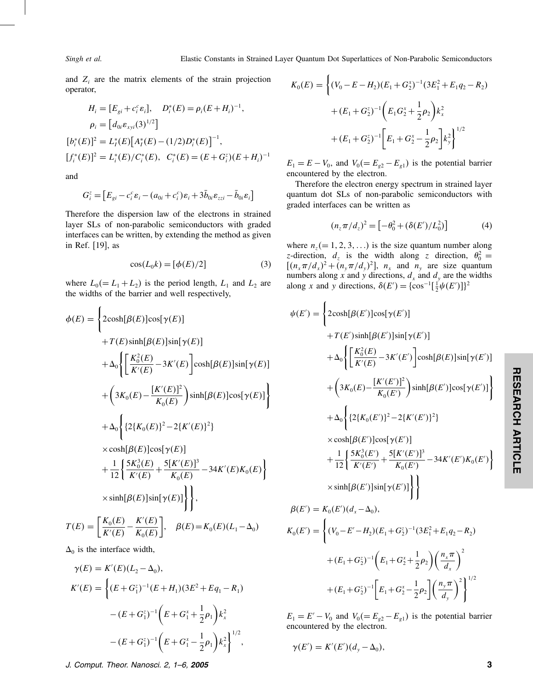$\overline{\phantom{a}}$ 

and  $Z_i$  are the matrix elements of the strain projection operator,

$$
H_i = [E_{gi} + c_i^c \varepsilon_i], \quad D_i^*(E) = \rho_i (E + H_i)^{-1},
$$
  
\n
$$
\rho_i = [d_{0i} \varepsilon_{xyi} (3)^{1/2}]
$$
  
\n
$$
[b_i^*(E)]^2 = L_i^*(E) [A_i^*(E) - (1/2)D_i^*(E)]^{-1},
$$
  
\n
$$
[f_i^*(E)]^2 = L_i^*(E)/C_i^*(E), \quad C_i^*(E) = (E + G_i^z)(E + H_i)^{-1}
$$

and

$$
G_i^z = \left[E_{gi} - c_i^c \varepsilon_i - (a_{0i} + c_i^c) \varepsilon_i + 3\bar{b}_{0i} \varepsilon_{zzi} - \bar{b}_{0i} \varepsilon_i\right]
$$

Therefore the dispersion law of the electrons in strained layer SLs of non-parabolic semiconductors with graded interfaces can be written, by extending the method as given in Ref.[19], as

$$
\cos(L_0 k) = [\phi(E)/2] \tag{3}
$$

where  $L_0 (= L_1 + L_2)$  is the period length,  $L_1$  and  $L_2$  are the widths of the barrier and well respectively,

$$
\phi(E) = \left\{ 2\cosh[\beta(E)]\cos[\gamma(E)] + T(E)\sinh[\beta(E)]\sin[\gamma(E)] + \Delta_0 \left\{ \left[ \frac{K_0^2(E)}{K'(E)} - 3K'(E) \right] \cosh[\beta(E)]\sin[\gamma(E)] + \left( 3K_0(E) - \frac{[K'(E)]^2}{K_0(E)} \right) \sinh[\beta(E)]\cos[\gamma(E)] \right\} + \Delta_0 \left\{ \left\{ 2\{K_0(E)\}^2 - 2\{K'(E)\}^2 \right\} + \Delta_0 \left\{ \left\{ 2\{K_0(E)\} \cos[\gamma(E)] + \frac{1}{12} \left\{ \frac{5K_0^3(E)}{K'(E)} + \frac{5[K'(E)]^3}{K_0(E)} - 34K'(E)K_0(E) \right\} \right\} + \sinh[\beta(E)]\sin[\gamma(E)] \right\},\
$$
  

$$
T(E) = \left[ \frac{K_0(E)}{K'(E)} - \frac{K'(E)}{K_0(E)} \right], \quad \beta(E) = K_0(E)(L_1 - \Delta_0)
$$

 $\Delta_0$  is the interface width,

$$
\gamma(E) = K'(E)(L_2 - \Delta_0),
$$
  
\n
$$
K'(E) = \left\{ (E + G_1^z)^{-1} (E + H_1)(3E^2 + Eq_1 - R_1) - (E + G_1^z)^{-1} \left( E + G_1^x + \frac{1}{2} \rho_1 \right) k_x^2 - (E + G_1^z)^{-1} \left( E + G_1^x - \frac{1}{2} \rho_1 \right) k_x^2 \right\}^{1/2},
$$

$$
K_0(E) = \left\{ (V_0 - E - H_2)(E_1 + G_2^x)^{-1} (3E_1^2 + E_1 q_2 - R_2) + (E_1 + G_2^x)^{-1} \left( E_1 G_2^x + \frac{1}{2} \rho_2 \right) k_x^2 + (E_1 + G_2^x)^{-1} \left[ E_1 + G_2^x - \frac{1}{2} \rho_2 \right] k_y^2 \right\}^{1/2}
$$

 $E_1 = E - V_0$ , and  $V_0 (= E_{g2} - E_{g1})$  is the potential barrier encountered by the electron.

Therefore the electron energy spectrum in strained layer quantum dot SLs of non-parabolic semiconductors with graded interfaces can be written as

$$
(n_z \pi / d_z)^2 = \left[ -\theta_0^2 + (\delta(E') / L_0^2) \right] \tag{4}
$$

where  $n_z (= 1, 2, 3, ...)$  is the size quantum number along z-direction,  $d_z$  is the width along z direction,  $\theta_0^2 =$  $[(n_x \pi/d_x)^2 + (n_y \pi/d_y)^2]$ ,  $n_x$  and  $n_y$  are size quantum numbers along x and y directions,  $d_x$  and  $d_y$  are the widths along x and y directions,  $\delta(E') = {\cos^{-1}[\frac{1}{2}\psi(E')]}\n$ <sup>2</sup>

$$
\psi(E') = \left\{ 2\cosh[\beta(E')]\cos[\gamma(E')]\n+ T(E')\sinh[\beta(E')]\sin[\gamma(E')]\n+ \Delta_0 \left\{ \left[ \frac{K_0^2(E)}{K'(E)} - 3K'(E') \right] \cosh[\beta(E)]\sin[\gamma(E')]\n+ \left( 3K_0(E) - \frac{[K'(E')]^2}{K_0(E')}\right) \sinh[\beta(E')]\cos[\gamma(E')]\n+ \Delta_0 \left\{ 2\{K_0(E')\}^2 - 2\{K'(E')\}^2\}\n\times \cosh[\beta(E')]\cos[\gamma(E')]\n+ \frac{1}{12} \left\{ \frac{5K_0^3(E')}{K'(E')} + \frac{5[K'(E')]^3}{K_0(E')} - 34K'(E')K_0(E')\n+ \frac{1}{12} \left\{ \frac{5K_0^3(E')}{K'(E')} + \frac{5[K'(E')]^3}{K_0(E')} \right\}\n\times \sinh[\beta(E')]\sin[\gamma(E')] \right\}\n\beta(E') = K_0(E')(d_x - \Delta_0),
$$
\n
$$
K_0(E') = \left\{ (V_0 - E' - H_2)(E_1 + G_2^2)^{-1}(3E_1^2 + E_1q_2 - R_2) + (E_1 + G_2^2)^{-1} \left(E_1 + G_2^2 + \frac{1}{2}\rho_2\right) \left(\frac{n_x \pi}{d_x}\right)^2 + (E_1 + G_2^2)^{-1} \left[E_1 + G_2^2 - \frac{1}{2}\rho_2\right] \left(\frac{n_y \pi}{d_y}\right)^2 \right\}^{1/2}
$$

 $E_1 = E' - V_0$  and  $V_0 (= E_{g2} - E_{g1})$  is the potential barrier encountered by the electron.

$$
\gamma(E')=K'(E')(d_{y}-\Delta_{0}),
$$

J. Comput. Theor. Nanosci. 2, 1–6, 2005 3

 $d_{y}$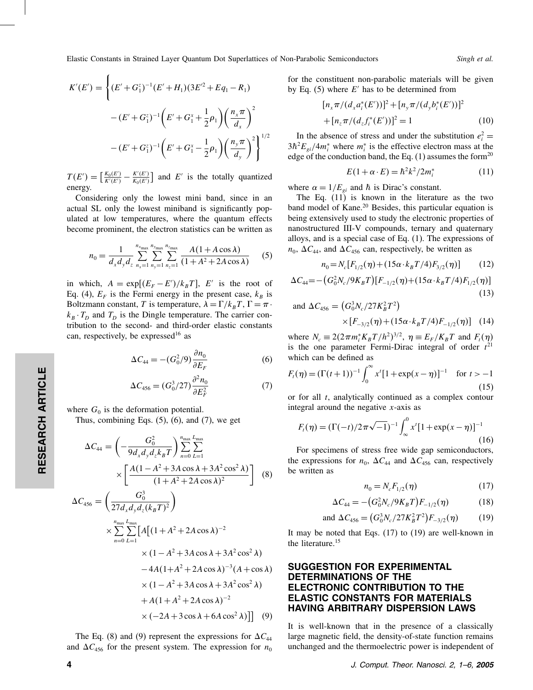$$
K'(E') = \left\{ (E' + G_1^z)^{-1} (E' + H_1)(3E'^2 + Eq_1 - R_1) - (E' + G_1^z)^{-1} \left( E' + G_1^x + \frac{1}{2} \rho_1 \right) \left( \frac{n_x \pi}{d_x} \right)^2 - (E' + G_1^z)^{-1} \left( E' + G_1^x - \frac{1}{2} \rho_1 \right) \left( \frac{n_y \pi}{d_y} \right)^2 \right\}^{1/2}
$$

 $T(E')=\left[\frac{K_0(E')}{K'(E')}\right]$  $\frac{K_0(E')}{K'(E')} - \frac{K'(E')}{K_0(E')}$  $\frac{K'(E')}{K_0(E')}$  and E' is the totally quantized energy.

Considering only the lowest mini band, since in an actual SL only the lowest miniband is significantly populated at low temperatures, where the quantum effects become prominent, the electron statistics can be written as

$$
n_0 = \frac{1}{d_x d_y d_z} \sum_{n_x=1}^{n_{x_{\text{max}}}} \sum_{n_y=1}^{n_{y_{\text{max}}}} \sum_{n_z=1}^{n_{z_{\text{max}}}} \frac{A(1 + A \cos \lambda)}{(1 + A^2 + 2A \cos \lambda)}
$$
(5)

in which,  $A = \exp[(E_F - E')/k_B T]$ , E' is the root of Eq. (4),  $E_F$  is the Fermi energy in the present case,  $k_B$  is Boltzmann constant, T is temperature,  $\lambda = \Gamma/k_B T$ ,  $\Gamma = \pi$ .  $k_B \cdot T_D$  and  $T_D$  is the Dingle temperature. The carrier contribution to the second- and third-order elastic constants can, respectively, be expressed<sup>16</sup> as

$$
\Delta C_{44} = -(G_0^2/9) \frac{\partial n_0}{\partial E_F} \tag{6}
$$

$$
\Delta C_{456} = (G_0^3 / 27) \frac{\partial^2 n_0}{\partial E_F^2}
$$
 (7)

where  $G_0$  is the deformation potential.

Thus, combining Eqs.  $(5)$ ,  $(6)$ , and  $(7)$ , we get

$$
\Delta C_{44} = \left( -\frac{G_0^2}{9d_x d_y d_z k_B T} \right) \sum_{n=0}^{n_{\text{max}}} \sum_{L=1}^{L_{\text{max}}} \times \left[ \frac{A(1 - A^2 + 3A \cos \lambda + 3A^2 \cos^2 \lambda)}{(1 + A^2 + 2A \cos \lambda)^2} \right] \tag{8}
$$
  

$$
\Delta C_{456} = \left( \frac{G_0^3}{27d_x d_y d_z (k_B T)^2} \right)
$$
  

$$
C_{\text{max}} C_{\text{max}} L_{\text{max}}
$$

$$
\times \sum_{n=0}^{n_{\text{max}}} \sum_{L=1}^{n_{\text{max}}} \left[ A \left[ (1 + A^2 + 2A \cos \lambda)^{-2} \times (1 - A^2 + 3A \cos \lambda + 3A^2 \cos^2 \lambda) \right] \right.
$$
  
 
$$
\times (1 - A^2 + 3A \cos \lambda + 3A^2 \cos^2 \lambda)
$$
  
 
$$
\times (1 - A^2 + 3A \cos \lambda + 3A^2 \cos^2 \lambda) + A(1 + A^2 + 2A \cos \lambda)^{-2}
$$
  
 
$$
\times (-2A + 3 \cos \lambda + 6A \cos^2 \lambda)] \quad (9)
$$

The Eq. (8) and (9) represent the expressions for  $\Delta C_{44}$ and  $\Delta C_{456}$  for the present system. The expression for  $n_0$  for the constituent non-parabolic materials will be given by Eq. (5) where  $E'$  has to be determined from

$$
[n_x \pi/(d_x a_i^*(E'))]^2 + [n_y \pi/(d_y b_i^*(E'))]^2
$$
  
+ 
$$
[n_z \pi/(d_z f_i^*(E'))]^2 = 1
$$
 (10)

In the absence of stress and under the substitution  $e_i^2 =$  $3\hbar^2 E_{gi}/4m_i^*$  where  $m_i^*$  is the effective electron mass at the edge of the conduction band, the Eq.  $(1)$  assumes the form<sup>20</sup>

$$
E(1+\alpha \cdot E) = \hbar^2 k^2 / 2m_i^* \tag{11}
$$

where  $\alpha = 1/E_{gi}$  and  $\hbar$  is Dirac's constant.

The Eq.(11) is known in the literature as the two band model of Kane.<sup>20</sup> Besides, this particular equation is being extensively used to study the electronic properties of nanostructured III-V compounds, ternary and quaternary alloys, and is a special case of Eq.  $(1)$ . The expressions of  $n_0$ ,  $\Delta C_{44}$ , and  $\Delta C_{456}$  can, respectively, be written as

$$
n_0 = N_c[F_{1/2}(\eta) + (15\alpha \cdot k_B T/4)F_{3/2}(\eta)] \tag{12}
$$

$$
\Delta C_{44} = -\left(G_0^2 N_c / 9K_B T\right) \left[F_{-1/2}(\eta) + (15\alpha \cdot k_B T/4) F_{1/2}(\eta)\right]
$$
\n(13)

and 
$$
\Delta C_{456} = (G_0^3 N_c / 27 K_B^2 T^2)
$$
  
  $\times [F_{-3/2}(\eta) + (15\alpha \cdot k_B T/4) F_{-1/2}(\eta)]$  (14)

where  $N_c \equiv 2(2\pi m_i^* K_B T/h^2)^{3/2}$ ,  $\eta \equiv E_F/K_B T$  and  $F_t(\eta)$ is the one parameter Fermi-Dirac integral of order  $t^{21}$ which can be defined as

$$
F_t(\eta) = (\Gamma(t+1))^{-1} \int_0^\infty x^t [1 + \exp(x-\eta)]^{-1} \quad \text{for } t > -1
$$
\n(15)

or for all t, analytically continued as a complex contour integral around the negative  $x$ -axis as

$$
F_t(\eta) = (\Gamma(-t)/2\pi\sqrt{-1})^{-1} \int_{-\infty}^{0} x^t [1 + \exp(x - \eta)]^{-1}
$$
\n(16)

For specimens of stress free wide gap semiconductors, the expressions for  $n_0$ ,  $\Delta C_{44}$  and  $\Delta C_{456}$  can, respectively be written as

$$
n_0 = N_c F_{1/2}(\eta) \tag{17}
$$

$$
\Delta C_{44} = -\left(G_0^2 N_c / 9K_B T\right) F_{-1/2}(\eta) \tag{18}
$$

and 
$$
\Delta C_{456} = (G_0^3 N_c / 27 K_B^2 T^2) F_{-3/2}(\eta)
$$
 (19)

It may be noted that Eqs.  $(17)$  to  $(19)$  are well-known in the literature.<sup>15</sup>

## SUGGESTION FOR EXPERIMENTAL DETERMINATIONS OF THE ELECTRONIC CONTRIBUTION TO THE ELASTIC CONSTANTS FOR MATERIALS HAVING ARBITRARY DISPERSION LAWS

It is well-known that in the presence of a classically large magnetic field, the density-of-state function remains unchanged and the thermoelectric power is independent of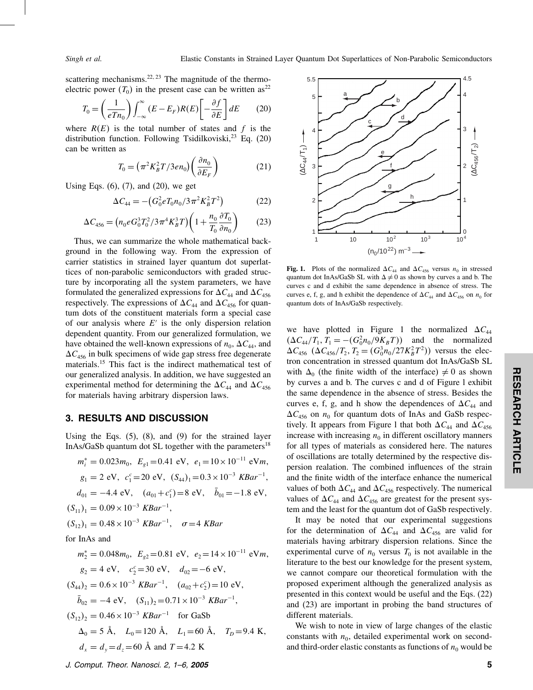scattering mechanisms.<sup>22, 23</sup> The magnitude of the thermoelectric power  $(T_0)$  in the present case can be written as<sup>22</sup>

$$
T_0 = \left(\frac{1}{eTn_0}\right) \int_{-\infty}^{\infty} (E - E_F)R(E) \left[-\frac{\partial f}{\partial E}\right] dE \qquad (20)
$$

where  $R(E)$  is the total number of states and f is the distribution function. Following Tsidilkoviski, $^{23}$  Eq. (20) can be written as

$$
T_0 = \left(\pi^2 K_B^2 T / 3en_0\right) \left(\frac{\partial n_0}{\partial E_F}\right) \tag{21}
$$

Using Eqs.  $(6)$ ,  $(7)$ , and  $(20)$ , we get

$$
\Delta C_{44} = -\left(G_0^2 e T_0 n_0 / 3 \pi^2 K_B^2 T^2\right) \tag{22}
$$

$$
\Delta C_{456} = \left( n_0 e G_0^3 T_0^2 / 3 \pi^4 K_B^3 T \right) \left( 1 + \frac{n_0}{T_0} \frac{\partial T_0}{\partial n_0} \right) \tag{23}
$$

Thus, we can summarize the whole mathematical background in the following way.From the expression of carrier statistics in strained layer quantum dot superlattices of non-parabolic semiconductors with graded structure by incorporating all the system parameters, we have formulated the generalized expressions for  $\Delta C_{44}$  and  $\Delta C_{456}$ respectively. The expressions of  $\Delta C_{44}$  and  $\Delta C_{456}$  for quantum dots of the constituent materials form a special case of our analysis where  $E'$  is the only dispersion relation dependent quantity. From our generalized formulation, we have obtained the well-known expressions of  $n_0$ ,  $\Delta C_{44}$ , and  $\Delta C_{456}$  in bulk specimens of wide gap stress free degenerate materials.<sup>15</sup> This fact is the indirect mathematical test of our generalized analysis.In addition, we have suggested an experimental method for determining the  $\Delta C_{44}$  and  $\Delta C_{456}$ for materials having arbitrary dispersion laws.

#### 3. RESULTS AND DISCUSSION

Using the Eqs.  $(5)$ ,  $(8)$ , and  $(9)$  for the strained layer InAs/GaSb quantum dot SL together with the parameters<sup>18</sup>

$$
m_i^* = 0.023m_0, \ E_{g1} = 0.41 \text{ eV}, \ e_1 = 10 \times 10^{-11} \text{ eV}m,
$$
  
\n
$$
g_1 = 2 \text{ eV}, \ c_1^c = 20 \text{ eV}, \ (S_{44})_1 = 0.3 \times 10^{-3} \text{ KBar}^{-1},
$$
  
\n
$$
d_{01} = -4.4 \text{ eV}, \ (a_{01} + c_1^c) = 8 \text{ eV}, \ \bar{b}_{01} = -1.8 \text{ eV},
$$
  
\n
$$
(S_{11})_1 = 0.09 \times 10^{-3} \text{ KBar}^{-1},
$$
  
\n
$$
(S_{12})_1 = 0.48 \times 10^{-3} \text{ KBar}^{-1}, \ \sigma = 4 \text{ KBar}
$$

for InAs and

 $m_2^* = 0.048m_0, E_{g2} = 0.81$  eV,  $e_2 = 14 \times 10^{-11}$  eVm,  $g_2 = 4$  eV,  $c_2^c = 30$  eV,  $d_{02} = -6$  eV,  $(S_{44})_2 = 0.6 \times 10^{-3}$  KBar<sup>-1</sup>,  $(a_{02} + c_2^c) = 10$  eV,  $\bar{b}_{02} = -4 \text{ eV}, \quad (S_{11})_2 = 0.71 \times 10^{-3} \text{ KBar}^{-1},$  $(S_{12})_2 = 0.46 \times 10^{-3}$  KBar<sup>-1</sup> for GaSb  $\Delta_0 = 5 \text{ Å}, \quad L_0 = 120 \text{ Å}, \quad L_1 = 60 \text{ Å}, \quad T_D = 9.4 \text{ K},$  $d_x = d_y = d_z = 60$  Å and  $T = 4.2$  K



Fig. 1. Plots of the normalized  $\Delta C_{44}$  and  $\Delta C_{456}$  versus  $n_0$  in stressed quantum dot InAs/GaSb SL with  $\Delta \neq 0$  as shown by curves a and b. The curves c and d exhibit the same dependence in absence of stress.The curves e, f, g, and h exhibit the dependence of  $\Delta C_{44}$  and  $\Delta C_{456}$  on  $n_0$  for quantum dots of InAs/GaSb respectively.

we have plotted in Figure 1 the normalized  $\Delta C_{44}$  $(\Delta C_{44}/T_1, T_1 = -(G_0^2 n_0/9K_B T))$  and the normalized  $\Delta C_{456}$   $(\Delta C_{456}/T_2, T_2 = (G_0^3 n_0 / 27K_B^2 T^2))$  versus the electron concentration in stressed quantum dot InAs/GaSb SL with  $\Delta_0$  (the finite width of the interface)  $\neq 0$  as shown by curves a and b.The curves c and d of Figure l exhibit the same dependence in the absence of stress. Besides the curves e, f, g, and h show the dependences of  $\Delta C_{44}$  and  $\Delta C_{456}$  on  $n_0$  for quantum dots of InAs and GaSb respectively. It appears from Figure 1 that both  $\Delta C_{44}$  and  $\Delta C_{456}$ increase with increasing  $n_0$  in different oscillatory manners for all types of materials as considered here. The natures of oscillations are totally determined by the respective dispersion realation.The combined influences of the strain and the finite width of the interface enhance the numerical values of both  $\Delta C_{44}$  and  $\Delta C_{456}$  respectively. The numerical values of  $\Delta C_{44}$  and  $\Delta C_{456}$  are greatest for the present system and the least for the quantum dot of GaSb respectively.

It may be noted that our experimental suggestions for the determination of  $\Delta C_{44}$  and  $\Delta C_{456}$  are valid for materials having arbitrary dispersion relations. Since the experimental curve of  $n_0$  versus  $T_0$  is not available in the literature to the best our knowledge for the present system, we cannot compare our theoretical formulation with the proposed experiment although the generalized analysis as presented in this context would be useful and the Eqs.(22) and (23) are important in probing the band structures of different materials.

We wish to note in view of large changes of the elastic constants with  $n_0$ , detailed experimental work on secondand third-order elastic constants as functions of  $n_0$  would be